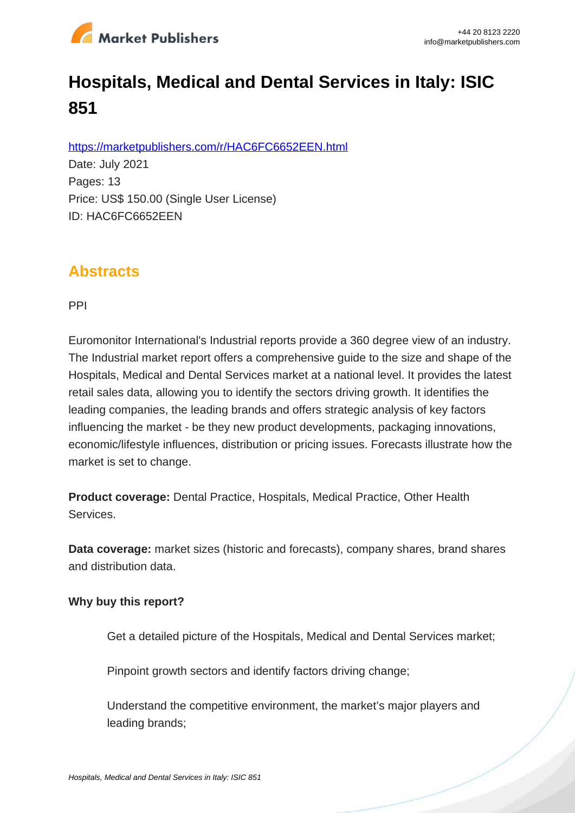

# **Hospitals, Medical and Dental Services in Italy: ISIC 851**

https://marketpublishers.com/r/HAC6FC6652EEN.html

Date: July 2021 Pages: 13 Price: US\$ 150.00 (Single User License) ID: HAC6FC6652EEN

### **Abstracts**

PPI

Euromonitor International's Industrial reports provide a 360 degree view of an industry. The Industrial market report offers a comprehensive guide to the size and shape of the Hospitals, Medical and Dental Services market at a national level. It provides the latest retail sales data, allowing you to identify the sectors driving growth. It identifies the leading companies, the leading brands and offers strategic analysis of key factors influencing the market - be they new product developments, packaging innovations, economic/lifestyle influences, distribution or pricing issues. Forecasts illustrate how the market is set to change.

**Product coverage:** Dental Practice, Hospitals, Medical Practice, Other Health Services.

**Data coverage:** market sizes (historic and forecasts), company shares, brand shares and distribution data.

#### **Why buy this report?**

Get a detailed picture of the Hospitals, Medical and Dental Services market;

Pinpoint growth sectors and identify factors driving change:

Understand the competitive environment, the market's major players and leading brands;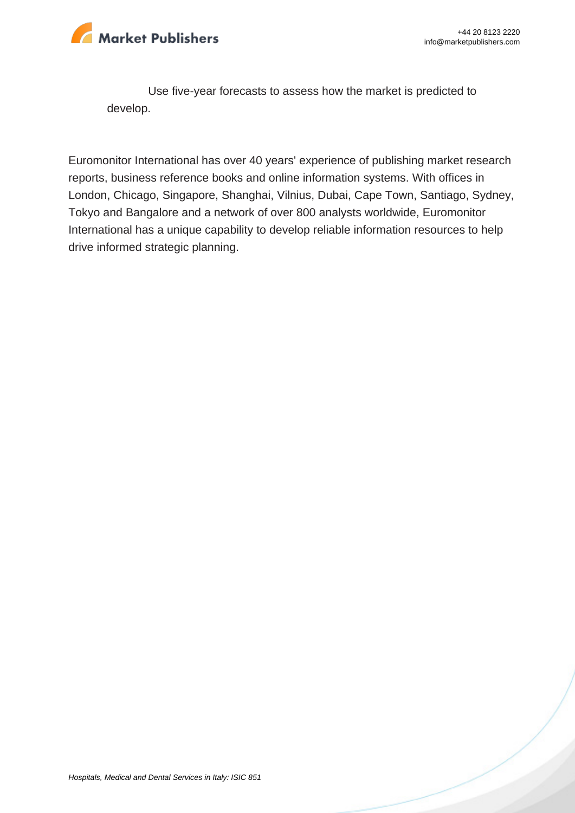

Use five-year forecasts to assess how the market is predicted to develop.

Euromonitor International has over 40 years' experience of publishing market research reports, business reference books and online information systems. With offices in London, Chicago, Singapore, Shanghai, Vilnius, Dubai, Cape Town, Santiago, Sydney, Tokyo and Bangalore and a network of over 800 analysts worldwide, Euromonitor International has a unique capability to develop reliable information resources to help drive informed strategic planning.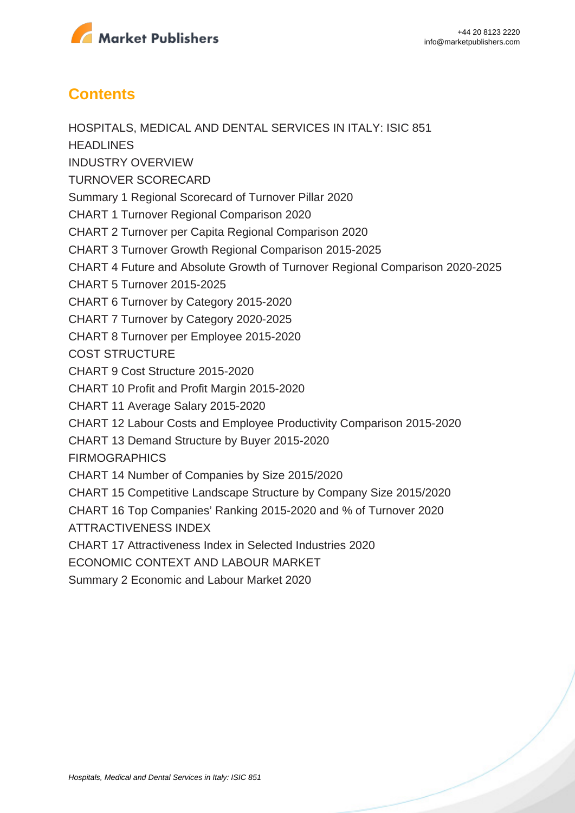

## **Contents**

HOSPITALS, MEDICAL AND DENTAL SERVICES IN ITALY: ISIC 851 **HEADLINES** INDUSTRY OVERVIEW TURNOVER SCORECARD Summary 1 Regional Scorecard of Turnover Pillar 2020 CHART 1 Turnover Regional Comparison 2020 CHART 2 Turnover per Capita Regional Comparison 2020 CHART 3 Turnover Growth Regional Comparison 2015-2025 CHART 4 Future and Absolute Growth of Turnover Regional Comparison 2020-2025 CHART 5 Turnover 2015-2025 CHART 6 Turnover by Category 2015-2020 CHART 7 Turnover by Category 2020-2025 CHART 8 Turnover per Employee 2015-2020 COST STRUCTURE CHART 9 Cost Structure 2015-2020 CHART 10 Profit and Profit Margin 2015-2020 CHART 11 Average Salary 2015-2020 CHART 12 Labour Costs and Employee Productivity Comparison 2015-2020 CHART 13 Demand Structure by Buyer 2015-2020 **FIRMOGRAPHICS** CHART 14 Number of Companies by Size 2015/2020 CHART 15 Competitive Landscape Structure by Company Size 2015/2020 CHART 16 Top Companies' Ranking 2015-2020 and % of Turnover 2020 ATTRACTIVENESS INDEX CHART 17 Attractiveness Index in Selected Industries 2020 ECONOMIC CONTEXT AND LABOUR MARKET Summary 2 Economic and Labour Market 2020